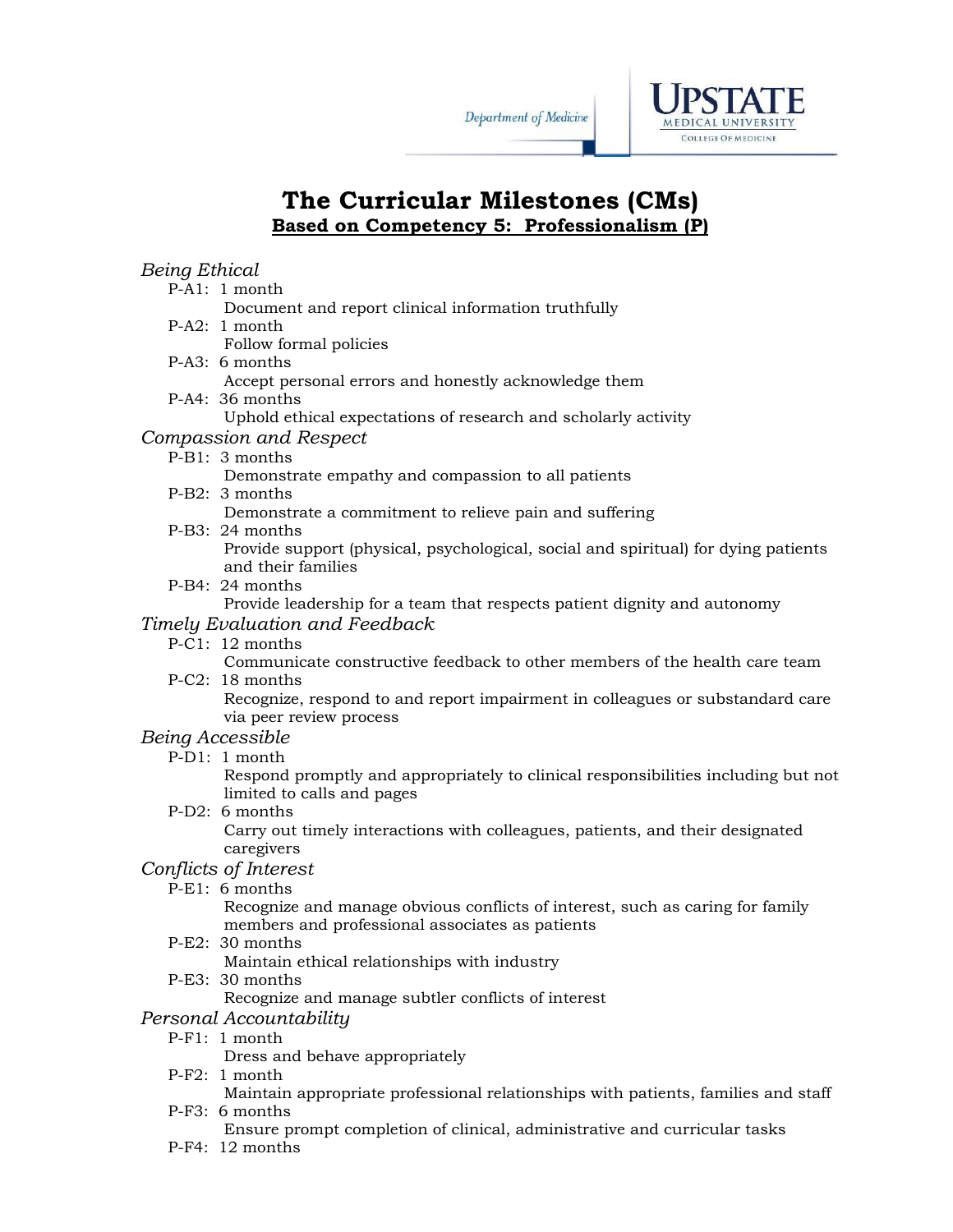



# **The Curricular Milestones (CMs) Based on Competency 5: Professionalism (P)**

## *Being Ethical*

- P-A1: 1 month
	- Document and report clinical information truthfully
- P-A2: 1 month
	- Follow formal policies
- P-A3: 6 months
	- Accept personal errors and honestly acknowledge them
- P-A4: 36 months
	- Uphold ethical expectations of research and scholarly activity
- *Compassion and Respect* 
	- P-B1: 3 months
		- Demonstrate empathy and compassion to all patients
	- P-B2: 3 months
		- Demonstrate a commitment to relieve pain and suffering
	- P-B3: 24 months

Provide support (physical, psychological, social and spiritual) for dying patients and their families

P-B4: 24 months

Provide leadership for a team that respects patient dignity and autonomy *Timely Evaluation and Feedback* 

P-C1: 12 months

Communicate constructive feedback to other members of the health care team P-C2: 18 months

Recognize, respond to and report impairment in colleagues or substandard care via peer review process

### *Being Accessible*

P-D1: 1 month

Respond promptly and appropriately to clinical responsibilities including but not limited to calls and pages

P-D2: 6 months

Carry out timely interactions with colleagues, patients, and their designated caregivers

#### *Conflicts of Interest*

P-E1: 6 months

Recognize and manage obvious conflicts of interest, such as caring for family members and professional associates as patients P-E2: 30 months

Maintain ethical relationships with industry

P-E3: 30 months

Recognize and manage subtler conflicts of interest

- *Personal Accountability* 
	- P-F1: 1 month

Dress and behave appropriately

P-F2: 1 month

Maintain appropriate professional relationships with patients, families and staff P-F3: 6 months

- Ensure prompt completion of clinical, administrative and curricular tasks
- P-F4: 12 months